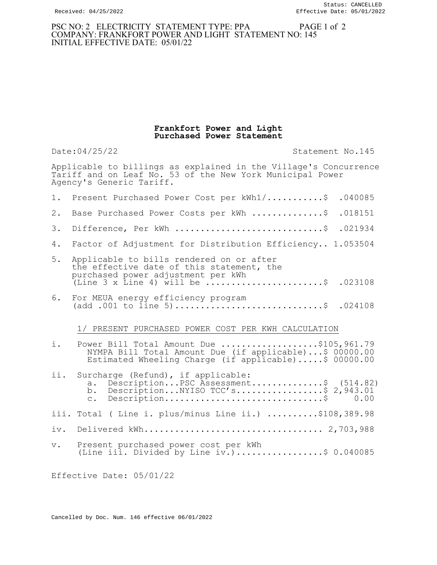## PSC NO: 2 ELECTRICITY STATEMENT TYPE: PPA PAGE 1 of 2 COMPANY: FRANKFORT POWER AND LIGHT STATEMENT NO: 145 INITIAL EFFECTIVE DATE: 05/01/22

## Frankfort Power and Light Purchased Power Statement

Date:04/25/22 Statement No.145 Applicable to billings as explained in the Village's Concurrence Tariff and on Leaf No. 53 of the New York Municipal Power Agency's Generic Tariff. 1. Present Purchased Power Cost per kWh1/...........\$ .040085 2. Base Purchased Power Costs per kWh ................\$ .018151 3. Difference, Per kWh .............................\$ .021934 4. Factor of Adjustment for Distribution Efficiency.. 1.053504 5. Applicable to bills rendered on or after the effective date of this statement, the purchased power adjustment per kWh (Line 3 x Line 4) will be  $\dots\dots\dots\dots\dots\dots\dots$ . 023108 6. For MEUA energy efficiency program (add .001 to  $\lim_{n \to \infty} 5, \dots, \dots, \dots, \dots, \dots, \dots, \dots, \$  .024108 1/ PRESENT PURCHASED POWER COST PER KWH CALCULATION i. Power Bill Total Amount Due ....................\$105,961.79 NYMPA Bill Total Amount Due (if applicable)...\$ 00000.00 Estimated Wheeling Charge (if applicable).....\$ 00000.00 ii. Surcharge (Refund), if applicable: a. Description...PSC Assessment................\$ (514.82) b. Description...NYISO TCC's.................\$ 2,943.01 c. Description...............................\$ 0.00 iii. Total ( Line i. plus/minus Line ii.) ..........\$108,389.98 iv. Delivered kWh................................... 2,703,988 v. Present purchased power cost per kWh (Line iii. Divided by Line iv.).................\$ 0.040085

Effective Date: 05/01/22

Cancelled by Doc. Num. 146 effective 06/01/2022